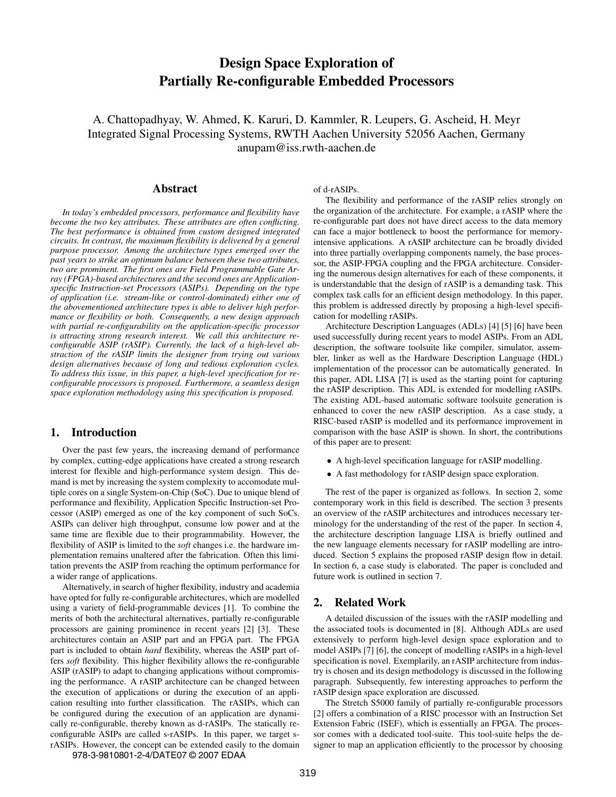# **Design Space Exploration of Partially Re-configurable Embedded Processors**

A. Chattopadhyay, W. Ahmed, K. Karuri, D. Kammler, R. Leupers, G. Ascheid, H. Meyr Integrated Signal Processing Systems, RWTH Aachen University 52056 Aachen, Germany anupam@iss.rwth-aachen.de

# **Abstract**

*In today's embedded processors, performance and flexibility have become the two key attributes. These attributes are often conflicting. The best performance is obtained from custom designed integrated circuits. In contrast, the maximum flexibility is delivered by a general purpose processor. Among the architecture types emerged over the past years to strike an optimum balance between these two attributes, two are prominent. The first ones are Field Programmable Gate Array (FPGA)-based architectures and the second ones are Applicationspecific Instruction-set Processors (ASIPs). Depending on the type of application (i.e. stream-like or control-dominated) either one of the abovementioned architecture types is able to deliver high performance or flexibility or both. Consequently, a new design approach with partial re-configurability on the application-specific processor is attracting strong research interest. We call this architecture reconfigurable ASIP (rASIP). Currently, the lack of a high-level abstraction of the rASIP limits the designer from trying out various design alternatives because of long and tedious exploration cycles. To address this issue, in this paper, a high-level specification for reconfigurable processors is proposed. Furthermore, a seamless design space exploration methodology using this specification is proposed.*

# **1. Introduction**

Over the past few years, the increasing demand of performance by complex, cutting-edge applications have created a strong research interest for flexible and high-performance system design. This demand is met by increasing the system complexity to accomodate multiple cores on a single System-on-Chip (SoC). Due to unique blend of performance and flexibility, Application Specific Instruction-set Processor (ASIP) emerged as one of the key component of such SoCs. ASIPs can deliver high throughput, consume low power and at the same time are flexible due to their programmability. However, the flexibility of ASIP is limited to the *soft* changes i.e. the hardware implementation remains unaltered after the fabrication. Often this limitation prevents the ASIP from reaching the optimum performance for a wider range of applications.

Alternatively, in search of higher flexibility, industry and academia have opted for fully re-configurable architectures, which are modelled using a variety of field-programmable devices [1]. To combine the merits of both the architectural alternatives, partially re-configurable processors are gaining prominence in recent years [2] [3]. These architectures contain an ASIP part and an FPGA part. The FPGA part is included to obtain *hard* flexibility, whereas the ASIP part offers *soft* flexibility. This higher flexibility allows the re-configurable ASIP (rASIP) to adapt to changing applications without compromising the performance. A rASIP architecture can be changed between the execution of applications or during the execution of an application resulting into further classification. The rASIPs, which can be configured during the execution of an application are dynamically re-configurable, thereby known as d-rASIPs. The statically reconfigurable ASIPs are called s-rASIPs. In this paper, we target srASIPs. However, the concept can be extended easily to the domain

978-3-9810801-2-4/DATE07 © 2007 EDAA

of d-rASIPs.

The flexibility and performance of the rASIP relies strongly on the organization of the architecture. For example, a rASIP where the re-configurable part does not have direct access to the data memory can face a major bottleneck to boost the performance for memoryintensive applications. A rASIP architecture can be broadly divided into three partially overlapping components namely, the base processor, the ASIP-FPGA coupling and the FPGA architecture. Considering the numerous design alternatives for each of these components, it is understandable that the design of rASIP is a demanding task. This complex task calls for an efficient design methodology. In this paper, this problem is addressed directly by proposing a high-level specification for modelling rASIPs.

Architecture Description Languages (ADLs) [4] [5] [6] have been used successfully during recent years to model ASIPs. From an ADL description, the software toolsuite like compiler, simulator, assembler, linker as well as the Hardware Description Language (HDL) implementation of the processor can be automatically generated. In this paper, ADL LISA [7] is used as the starting point for capturing the rASIP description. This ADL is extended for modelling rASIPs. The existing ADL-based automatic software toolsuite generation is enhanced to cover the new rASIP description. As a case study, a RISC-based rASIP is modelled and its performance improvement in comparison with the base ASIP is shown. In short, the contributions of this paper are to present:

- A high-level specification language for rASIP modelling.
- A fast methodology for rASIP design space exploration.

The rest of the paper is organized as follows. In section 2, some contemporary work in this field is described. The section 3 presents an overview of the rASIP architectures and introduces necessary terminology for the understanding of the rest of the paper. In section 4, the architecture description language LISA is briefly outlined and the new language elements necessary for rASIP modelling are introduced. Section 5 explains the proposed rASIP design flow in detail. In section 6, a case study is elaborated. The paper is concluded and future work is outlined in section 7.

# **2. Related Work**

A detailed discussion of the issues with the rASIP modelling and the associated tools is documented in [8]. Although ADLs are used extensively to perform high-level design space exploration and to model ASIPs [7] [6], the concept of modelling rASIPs in a high-level specification is novel. Exemplarily, an rASIP architecture from industry is chosen and its design methodology is discussed in the following paragraph. Subsequently, few interesting approaches to perform the rASIP design space exploration are discussed.

The Stretch S5000 family of partially re-configurable processors [2] offers a combination of a RISC processor with an Instruction Set Extension Fabric (ISEF), which is essentially an FPGA. The processor comes with a dedicated tool-suite. This tool-suite helps the designer to map an application efficiently to the processor by choosing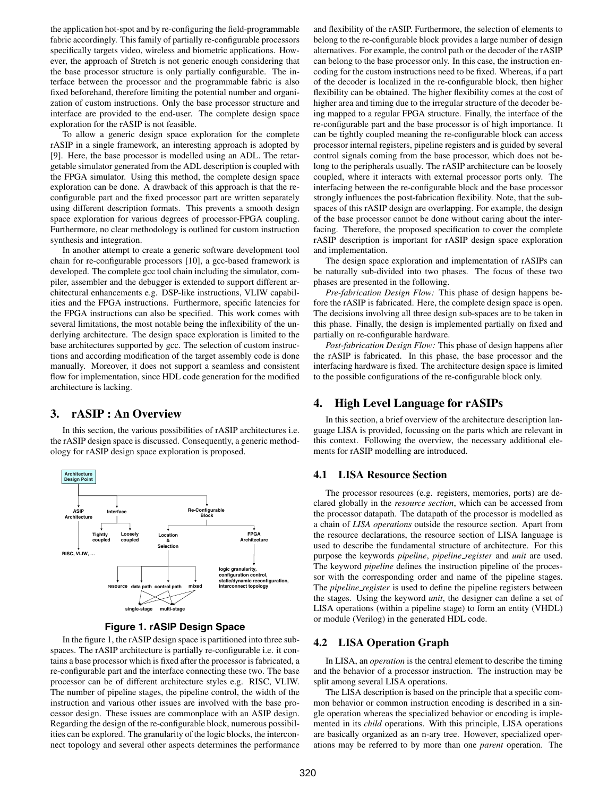the application hot-spot and by re-configuring the field-programmable fabric accordingly. This family of partially re-configurable processors specifically targets video, wireless and biometric applications. However, the approach of Stretch is not generic enough considering that the base processor structure is only partially configurable. The interface between the processor and the programmable fabric is also fixed beforehand, therefore limiting the potential number and organization of custom instructions. Only the base processor structure and interface are provided to the end-user. The complete design space exploration for the rASIP is not feasible.

To allow a generic design space exploration for the complete rASIP in a single framework, an interesting approach is adopted by [9]. Here, the base processor is modelled using an ADL. The retargetable simulator generated from the ADL description is coupled with the FPGA simulator. Using this method, the complete design space exploration can be done. A drawback of this approach is that the reconfigurable part and the fixed processor part are written separately using different description formats. This prevents a smooth design space exploration for various degrees of processor-FPGA coupling. Furthermore, no clear methodology is outlined for custom instruction synthesis and integration.

In another attempt to create a generic software development tool chain for re-configurable processors [10], a gcc-based framework is developed. The complete gcc tool chain including the simulator, compiler, assembler and the debugger is extended to support different architectural enhancements e.g. DSP-like instructions, VLIW capabilities and the FPGA instructions. Furthermore, specific latencies for the FPGA instructions can also be specified. This work comes with several limitations, the most notable being the inflexibility of the underlying architecture. The design space exploration is limited to the base architectures supported by gcc. The selection of custom instructions and according modification of the target assembly code is done manually. Moreover, it does not support a seamless and consistent flow for implementation, since HDL code generation for the modified architecture is lacking.

# **3. rASIP : An Overview**

In this section, the various possibilities of rASIP architectures i.e. the rASIP design space is discussed. Consequently, a generic methodology for rASIP design space exploration is proposed.



### **Figure 1. rASIP Design Space**

In the figure 1, the rASIP design space is partitioned into three subspaces. The rASIP architecture is partially re-configurable i.e. it contains a base processor which is fixed after the processor is fabricated, a re-configurable part and the interface connecting these two. The base processor can be of different architecture styles e.g. RISC, VLIW. The number of pipeline stages, the pipeline control, the width of the instruction and various other issues are involved with the base processor design. These issues are commonplace with an ASIP design. Regarding the design of the re-configurable block, numerous possibilities can be explored. The granularity of the logic blocks, the interconnect topology and several other aspects determines the performance

and flexibility of the rASIP. Furthermore, the selection of elements to belong to the re-configurable block provides a large number of design alternatives. For example, the control path or the decoder of the rASIP can belong to the base processor only. In this case, the instruction encoding for the custom instructions need to be fixed. Whereas, if a part of the decoder is localized in the re-configurable block, then higher flexibility can be obtained. The higher flexibility comes at the cost of higher area and timing due to the irregular structure of the decoder being mapped to a regular FPGA structure. Finally, the interface of the re-configurable part and the base processor is of high importance. It can be tightly coupled meaning the re-configurable block can access processor internal registers, pipeline registers and is guided by several control signals coming from the base processor, which does not belong to the peripherals usually. The rASIP architecture can be loosely coupled, where it interacts with external processor ports only. The interfacing between the re-configurable block and the base processor strongly influences the post-fabrication flexibility. Note, that the subspaces of this rASIP design are overlapping. For example, the design of the base processor cannot be done without caring about the interfacing. Therefore, the proposed specification to cover the complete rASIP description is important for rASIP design space exploration and implementation.

The design space exploration and implementation of rASIPs can be naturally sub-divided into two phases. The focus of these two phases are presented in the following.

*Pre-fabrication Design Flow:* This phase of design happens before the rASIP is fabricated. Here, the complete design space is open. The decisions involving all three design sub-spaces are to be taken in this phase. Finally, the design is implemented partially on fixed and partially on re-configurable hardware.

*Post-fabrication Design Flow:* This phase of design happens after the rASIP is fabricated. In this phase, the base processor and the interfacing hardware is fixed. The architecture design space is limited to the possible configurations of the re-configurable block only.

# **4. High Level Language for rASIPs**

In this section, a brief overview of the architecture description language LISA is provided, focussing on the parts which are relevant in this context. Following the overview, the necessary additional elements for rASIP modelling are introduced.

#### **4.1 LISA Resource Section**

The processor resources (e.g. registers, memories, ports) are declared globally in the *resource section*, which can be accessed from the processor datapath. The datapath of the processor is modelled as a chain of *LISA operations* outside the resource section. Apart from the resource declarations, the resource section of LISA language is used to describe the fundamental structure of architecture. For this purpose the keywords *pipeline*, *pipeline register* and *unit* are used. The keyword *pipeline* defines the instruction pipeline of the processor with the corresponding order and name of the pipeline stages. The *pipeline register* is used to define the pipeline registers between the stages. Using the keyword *unit*, the designer can define a set of LISA operations (within a pipeline stage) to form an entity (VHDL) or module (Verilog) in the generated HDL code.

#### **4.2 LISA Operation Graph**

In LISA, an *operation* is the central element to describe the timing and the behavior of a processor instruction. The instruction may be split among several LISA operations.

The LISA description is based on the principle that a specific common behavior or common instruction encoding is described in a single operation whereas the specialized behavior or encoding is implemented in its *child* operations. With this principle, LISA operations are basically organized as an n-ary tree. However, specialized operations may be referred to by more than one *parent* operation. The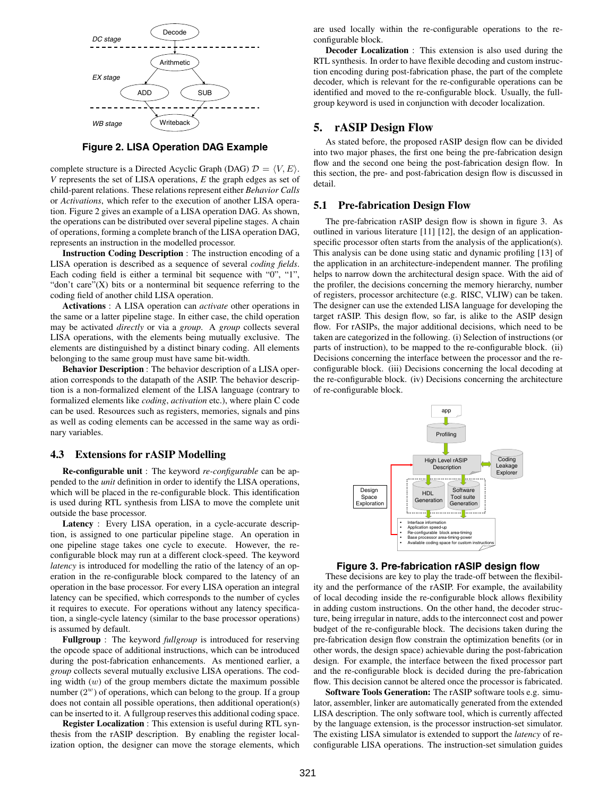

**Figure 2. LISA Operation DAG Example**

complete structure is a Directed Acyclic Graph (DAG)  $\mathcal{D} = \langle V, E \rangle$ . *V* represents the set of LISA operations, *E* the graph edges as set of child-parent relations. These relations represent either *Behavior Calls* or *Activations*, which refer to the execution of another LISA operation. Figure 2 gives an example of a LISA operation DAG. As shown, the operations can be distributed over several pipeline stages. A chain of operations, forming a complete branch of the LISA operation DAG, represents an instruction in the modelled processor.

**Instruction Coding Description** : The instruction encoding of a LISA operation is described as a sequence of several *coding fields*. Each coding field is either a terminal bit sequence with "0", "1", "don't care" $(X)$  bits or a nonterminal bit sequence referring to the coding field of another child LISA operation.

**Activations** : A LISA operation can *activate* other operations in the same or a latter pipeline stage. In either case, the child operation may be activated *directly* or via a *group*. A *group* collects several LISA operations, with the elements being mutually exclusive. The elements are distinguished by a distinct binary coding. All elements belonging to the same group must have same bit-width.

**Behavior Description** : The behavior description of a LISA operation corresponds to the datapath of the ASIP. The behavior description is a non-formalized element of the LISA language (contrary to formalized elements like *coding*, *activation* etc.), where plain C code can be used. Resources such as registers, memories, signals and pins as well as coding elements can be accessed in the same way as ordinary variables.

#### **4.3 Extensions for rASIP Modelling**

**Re-configurable unit** : The keyword *re-configurable* can be appended to the *unit* definition in order to identify the LISA operations, which will be placed in the re-configurable block. This identification is used during RTL synthesis from LISA to move the complete unit outside the base processor.

**Latency** : Every LISA operation, in a cycle-accurate description, is assigned to one particular pipeline stage. An operation in one pipeline stage takes one cycle to execute. However, the reconfigurable block may run at a different clock-speed. The keyword *latency* is introduced for modelling the ratio of the latency of an operation in the re-configurable block compared to the latency of an operation in the base processor. For every LISA operation an integral latency can be specified, which corresponds to the number of cycles it requires to execute. For operations without any latency specification, a single-cycle latency (similar to the base processor operations) is assumed by default.

**Fullgroup** : The keyword *fullgroup* is introduced for reserving the opcode space of additional instructions, which can be introduced during the post-fabrication enhancements. As mentioned earlier, a *group* collects several mutually exclusive LISA operations. The coding width (*w*) of the group members dictate the maximum possible number  $(2^w)$  of operations, which can belong to the group. If a group does not contain all possible operations, then additional operation(s) can be inserted to it. A fullgroup reserves this additional coding space.

**Register Localization** : This extension is useful during RTL synthesis from the rASIP description. By enabling the register localization option, the designer can move the storage elements, which are used locally within the re-configurable operations to the reconfigurable block.

**Decoder Localization** : This extension is also used during the RTL synthesis. In order to have flexible decoding and custom instruction encoding during post-fabrication phase, the part of the complete decoder, which is relevant for the re-configurable operations can be identified and moved to the re-configurable block. Usually, the fullgroup keyword is used in conjunction with decoder localization.

# **5. rASIP Design Flow**

As stated before, the proposed rASIP design flow can be divided into two major phases, the first one being the pre-fabrication design flow and the second one being the post-fabrication design flow. In this section, the pre- and post-fabrication design flow is discussed in detail.

#### **5.1 Pre-fabrication Design Flow**

The pre-fabrication rASIP design flow is shown in figure 3. As outlined in various literature [11] [12], the design of an applicationspecific processor often starts from the analysis of the application(s). This analysis can be done using static and dynamic profiling [13] of the application in an architecture-independent manner. The profiling helps to narrow down the architectural design space. With the aid of the profiler, the decisions concerning the memory hierarchy, number of registers, processor architecture (e.g. RISC, VLIW) can be taken. The designer can use the extended LISA language for developing the target rASIP. This design flow, so far, is alike to the ASIP design flow. For rASIPs, the major additional decisions, which need to be taken are categorized in the following. (i) Selection of instructions (or parts of instruction), to be mapped to the re-configurable block. (ii) Decisions concerning the interface between the processor and the reconfigurable block. (iii) Decisions concerning the local decoding at the re-configurable block. (iv) Decisions concerning the architecture of re-configurable block.



**Figure 3. Pre-fabrication rASIP design flow**

These decisions are key to play the trade-off between the flexibility and the performance of the rASIP. For example, the availability of local decoding inside the re-configurable block allows flexibility in adding custom instructions. On the other hand, the decoder structure, being irregular in nature, adds to the interconnect cost and power budget of the re-configurable block. The decisions taken during the pre-fabrication design flow constrain the optimization benefits (or in other words, the design space) achievable during the post-fabrication design. For example, the interface between the fixed processor part and the re-configurable block is decided during the pre-fabrication flow. This decision cannot be altered once the processor is fabricated.

**Software Tools Generation:** The rASIP software tools e.g. simulator, assembler, linker are automatically generated from the extended LISA description. The only software tool, which is currently affected by the language extension, is the processor instruction-set simulator. The existing LISA simulator is extended to support the *latency* of reconfigurable LISA operations. The instruction-set simulation guides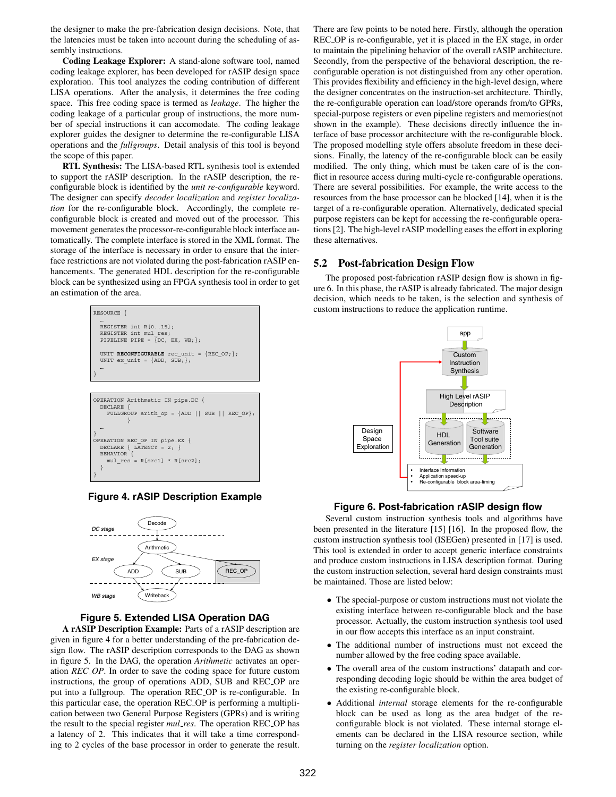the designer to make the pre-fabrication design decisions. Note, that the latencies must be taken into account during the scheduling of assembly instructions.

**Coding Leakage Explorer:** A stand-alone software tool, named coding leakage explorer, has been developed for rASIP design space exploration. This tool analyzes the coding contribution of different LISA operations. After the analysis, it determines the free coding space. This free coding space is termed as *leakage*. The higher the coding leakage of a particular group of instructions, the more number of special instructions it can accomodate. The coding leakage explorer guides the designer to determine the re-configurable LISA operations and the *fullgroups*. Detail analysis of this tool is beyond the scope of this paper.

**RTL Synthesis:** The LISA-based RTL synthesis tool is extended to support the rASIP description. In the rASIP description, the reconfigurable block is identified by the *unit re-configurable* keyword. The designer can specify *decoder localization* and *register localization* for the re-configurable block. Accordingly, the complete reconfigurable block is created and moved out of the processor. This movement generates the processor-re-configurable block interface automatically. The complete interface is stored in the XML format. The storage of the interface is necessary in order to ensure that the interface restrictions are not violated during the post-fabrication rASIP enhancements. The generated HDL description for the re-configurable block can be synthesized using an FPGA synthesis tool in order to get an estimation of the area.

| RESOURCE {                                                                                       |
|--------------------------------------------------------------------------------------------------|
| REGISTER int $R[015]$ ;<br>REGISTER int mul res;<br>PIPELINE PIPE = ${DC, EX, WB; }$             |
| UNIT RECONFIGURABLE rec unit = $\{REC \ OP\}$ ;<br>UNIT ex unit = $\{ADD, SUB; \};$              |
|                                                                                                  |
|                                                                                                  |
|                                                                                                  |
| OPERATION Arithmetic IN pipe.DC {<br>DECLARE {<br>FULLGROUP arith op = ${ADD    SUB    REC OP};$ |

**Figure 4. rASIP Description Example**





**A rASIP Description Example:** Parts of a rASIP description are given in figure 4 for a better understanding of the pre-fabrication design flow. The rASIP description corresponds to the DAG as shown in figure 5. In the DAG, the operation *Arithmetic* activates an operation *REC OP*. In order to save the coding space for future custom instructions, the group of operations ADD, SUB and REC OP are put into a fullgroup. The operation REC OP is re-configurable. In this particular case, the operation REC OP is performing a multiplication between two General Purpose Registers (GPRs) and is writing the result to the special register *mul res*. The operation REC OP has a latency of 2. This indicates that it will take a time corresponding to 2 cycles of the base processor in order to generate the result.

There are few points to be noted here. Firstly, although the operation REC OP is re-configurable, yet it is placed in the EX stage, in order to maintain the pipelining behavior of the overall rASIP architecture. Secondly, from the perspective of the behavioral description, the reconfigurable operation is not distinguished from any other operation. This provides flexibility and efficiency in the high-level design, where the designer concentrates on the instruction-set architecture. Thirdly, the re-configurable operation can load/store operands from/to GPRs, special-purpose registers or even pipeline registers and memories(not shown in the example). These decisions directly influence the interface of base processor architecture with the re-configurable block. The proposed modelling style offers absolute freedom in these decisions. Finally, the latency of the re-configurable block can be easily modified. The only thing, which must be taken care of is the conflict in resource access during multi-cycle re-configurable operations. There are several possibilities. For example, the write access to the resources from the base processor can be blocked [14], when it is the target of a re-configurable operation. Alternatively, dedicated special purpose registers can be kept for accessing the re-configurable operations [2]. The high-level rASIP modelling eases the effort in exploring these alternatives.

# **5.2 Post-fabrication Design Flow**

The proposed post-fabrication rASIP design flow is shown in figure 6. In this phase, the rASIP is already fabricated. The major design decision, which needs to be taken, is the selection and synthesis of custom instructions to reduce the application runtime.



#### **Figure 6. Post-fabrication rASIP design flow**

Several custom instruction synthesis tools and algorithms have been presented in the literature [15] [16]. In the proposed flow, the custom instruction synthesis tool (ISEGen) presented in [17] is used. This tool is extended in order to accept generic interface constraints and produce custom instructions in LISA description format. During the custom instruction selection, several hard design constraints must be maintained. Those are listed below:

- The special-purpose or custom instructions must not violate the existing interface between re-configurable block and the base processor. Actually, the custom instruction synthesis tool used in our flow accepts this interface as an input constraint.
- The additional number of instructions must not exceed the number allowed by the free coding space available.
- The overall area of the custom instructions' datapath and corresponding decoding logic should be within the area budget of the existing re-configurable block.
- Additional *internal* storage elements for the re-configurable block can be used as long as the area budget of the reconfigurable block is not violated. These internal storage elements can be declared in the LISA resource section, while turning on the *register localization* option.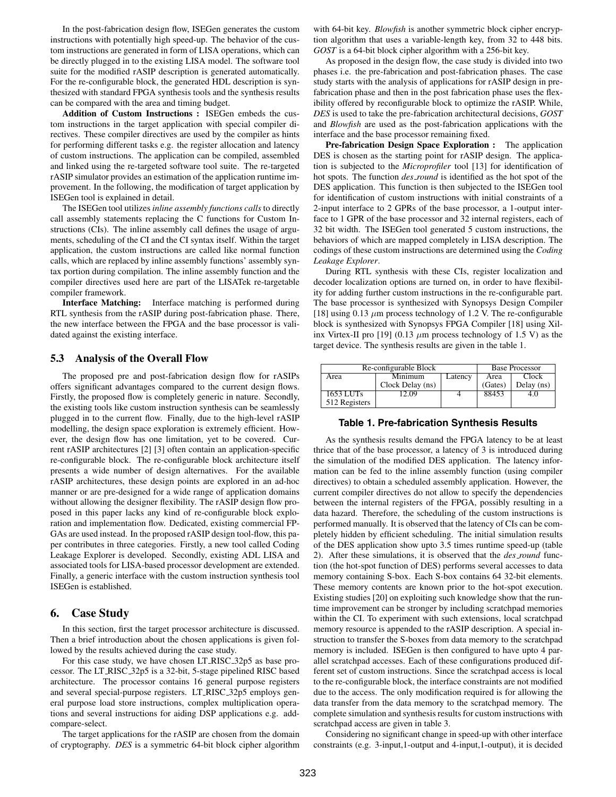In the post-fabrication design flow, ISEGen generates the custom instructions with potentially high speed-up. The behavior of the custom instructions are generated in form of LISA operations, which can be directly plugged in to the existing LISA model. The software tool suite for the modified rASIP description is generated automatically. For the re-configurable block, the generated HDL description is synthesized with standard FPGA synthesis tools and the synthesis results can be compared with the area and timing budget.

**Addition of Custom Instructions :** ISEGen embeds the custom instructions in the target application with special compiler directives. These compiler directives are used by the compiler as hints for performing different tasks e.g. the register allocation and latency of custom instructions. The application can be compiled, assembled and linked using the re-targeted software tool suite. The re-targeted rASIP simulator provides an estimation of the application runtime improvement. In the following, the modification of target application by ISEGen tool is explained in detail.

The ISEGen tool utilizes *inline assembly functions calls* to directly call assembly statements replacing the C functions for Custom Instructions (CIs). The inline assembly call defines the usage of arguments, scheduling of the CI and the CI syntax itself. Within the target application, the custom instructions are called like normal function calls, which are replaced by inline assembly functions' assembly syntax portion during compilation. The inline assembly function and the compiler directives used here are part of the LISATek re-targetable compiler framework.

**Interface Matching:** Interface matching is performed during RTL synthesis from the rASIP during post-fabrication phase. There, the new interface between the FPGA and the base processor is validated against the existing interface.

#### **5.3 Analysis of the Overall Flow**

The proposed pre and post-fabrication design flow for rASIPs offers significant advantages compared to the current design flows. Firstly, the proposed flow is completely generic in nature. Secondly, the existing tools like custom instruction synthesis can be seamlessly plugged in to the current flow. Finally, due to the high-level rASIP modelling, the design space exploration is extremely efficient. However, the design flow has one limitation, yet to be covered. Current rASIP architectures [2] [3] often contain an application-specific re-configurable block. The re-configurable block architecture itself presents a wide number of design alternatives. For the available rASIP architectures, these design points are explored in an ad-hoc manner or are pre-designed for a wide range of application domains without allowing the designer flexibility. The rASIP design flow proposed in this paper lacks any kind of re-configurable block exploration and implementation flow. Dedicated, existing commercial FP-GAs are used instead. In the proposed rASIP design tool-flow, this paper contributes in three categories. Firstly, a new tool called Coding Leakage Explorer is developed. Secondly, existing ADL LISA and associated tools for LISA-based processor development are extended. Finally, a generic interface with the custom instruction synthesis tool ISEGen is established.

# **6. Case Study**

In this section, first the target processor architecture is discussed. Then a brief introduction about the chosen applications is given followed by the results achieved during the case study.

For this case study, we have chosen LT RISC 32p5 as base processor. The LT RISC 32p5 is a 32-bit, 5-stage pipelined RISC based architecture. The processor contains 16 general purpose registers and several special-purpose registers. LT RISC 32p5 employs general purpose load store instructions, complex multiplication operations and several instructions for aiding DSP applications e.g. addcompare-select.

The target applications for the rASIP are chosen from the domain of cryptography. *DES* is a symmetric 64-bit block cipher algorithm with 64-bit key. *Blowfish* is another symmetric block cipher encryption algorithm that uses a variable-length key, from 32 to 448 bits. *GOST* is a 64-bit block cipher algorithm with a 256-bit key.

As proposed in the design flow, the case study is divided into two phases i.e. the pre-fabrication and post-fabrication phases. The case study starts with the analysis of applications for rASIP design in prefabrication phase and then in the post fabrication phase uses the flexibility offered by reconfigurable block to optimize the rASIP. While, *DES* is used to take the pre-fabrication architectural decisions, *GOST* and *Blowfish* are used as the post-fabrication applications with the interface and the base processor remaining fixed.

**Pre-fabrication Design Space Exploration :** The application DES is chosen as the starting point for rASIP design. The application is subjected to the *Microprofiler* tool [13] for identification of hot spots. The function *des round* is identified as the hot spot of the DES application. This function is then subjected to the ISEGen tool for identification of custom instructions with initial constraints of a 2-input interface to 2 GPRs of the base processor, a 1-output interface to 1 GPR of the base processor and 32 internal registers, each of 32 bit width. The ISEGen tool generated 5 custom instructions, the behaviors of which are mapped completely in LISA description. The codings of these custom instructions are determined using the *Coding Leakage Explorer*.

During RTL synthesis with these CIs, register localization and decoder localization options are turned on, in order to have flexibility for adding further custom instructions in the re-configurable part. The base processor is synthesized with Synopsys Design Compiler [18] using 0.13  $\mu$ m process technology of 1.2 V. The re-configurable block is synthesized with Synopsys FPGA Compiler [18] using Xilinx Virtex-II pro [19] (0.13  $\mu$ m process technology of 1.5 V) as the target device. The synthesis results are given in the table 1.

| Re-configurable Block |                  |         | <b>Base Processor</b> |            |
|-----------------------|------------------|---------|-----------------------|------------|
| Area                  | Minimum          | Latency | Area                  | Clock      |
|                       | Clock Delay (ns) |         | (Gates)               | Delay (ns) |
| 1653 LUTs             | 2.09             |         | 88453                 | 4.0        |
| 512 Registers         |                  |         |                       |            |

#### **Table 1. Pre-fabrication Synthesis Results**

As the synthesis results demand the FPGA latency to be at least thrice that of the base processor, a latency of 3 is introduced during the simulation of the modified DES application. The latency information can be fed to the inline assembly function (using compiler directives) to obtain a scheduled assembly application. However, the current compiler directives do not allow to specify the dependencies between the internal registers of the FPGA, possibly resulting in a data hazard. Therefore, the scheduling of the custom instructions is performed manually. It is observed that the latency of CIs can be completely hidden by efficient scheduling. The initial simulation results of the DES application show upto 3.5 times runtime speed-up (table 2). After these simulations, it is observed that the *des round* function (the hot-spot function of DES) performs several accesses to data memory containing S-box. Each S-box contains 64 32-bit elements. These memory contents are known prior to the hot-spot execution. Existing studies [20] on exploiting such knowledge show that the runtime improvement can be stronger by including scratchpad memories within the CI. To experiment with such extensions, local scratchpad memory resource is appended to the rASIP description. A special instruction to transfer the S-boxes from data memory to the scratchpad memory is included. ISEGen is then configured to have upto 4 parallel scratchpad accesses. Each of these configurations produced different set of custom instructions. Since the scratchpad access is local to the re-configurable block, the interface constraints are not modified due to the access. The only modification required is for allowing the data transfer from the data memory to the scratchpad memory. The complete simulation and synthesis results for custom instructions with scratchpad access are given in table 3.

Considering no significant change in speed-up with other interface constraints (e.g. 3-input,1-output and 4-input,1-output), it is decided